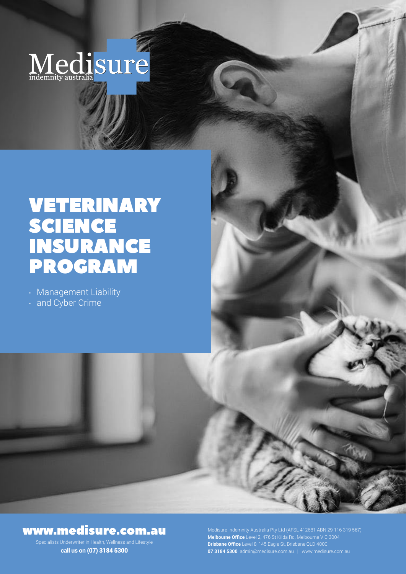# Medisure

# VETERINARY SCIENCE INSURANCE PROGRAM

• Management Liability

• and Cyber Crime

## www.medisure.com.au

Specialists Underwriter in Health, Wellness and Lifestyle **call us on** (07) 3184 5300

**Melbourne Office** Level 2, 476 St Kilda Rd, Melbourne VIC 3004 **Brisbane Office** Level 8, 145 Eagle St, Brisbane QLD 4000 **07 3184 5300** admin@medisure.com.au | www.medisure.com.au